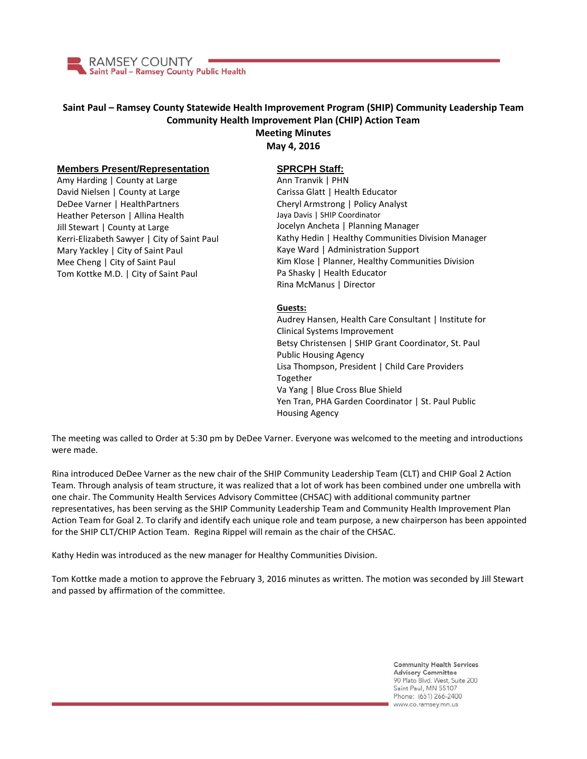**RAMSEY COUNTY** Saint Paul - Ramsey County Public Health

# **Saint Paul – Ramsey County Statewide Health Improvement Program (SHIP) Community Leadership Team Community Health Improvement Plan (CHIP) Action Team**

### **Meeting Minutes May 4, 2016**

### **Members Present/Representation**

Amy Harding | County at Large David Nielsen | County at Large DeDee Varner | HealthPartners Heather Peterson | Allina Health Jill Stewart | County at Large Kerri-Elizabeth Sawyer | City of Saint Paul Mary Yackley | City of Saint Paul Mee Cheng | City of Saint Paul Tom Kottke M.D. | City of Saint Paul

## **SPRCPH Staff:**

Ann Tranvik | PHN Carissa Glatt | Health Educator Cheryl Armstrong | Policy Analyst Jaya Davis | SHIP Coordinator Jocelyn Ancheta | Planning Manager Kathy Hedin | Healthy Communities Division Manager Kaye Ward | Administration Support Kim Klose | Planner, Healthy Communities Division Pa Shasky | Health Educator Rina McManus | Director

#### **Guests:**

Audrey Hansen, Health Care Consultant | Institute for Clinical Systems Improvement Betsy Christensen | SHIP Grant Coordinator, St. Paul Public Housing Agency Lisa Thompson, President | Child Care Providers Together Va Yang | Blue Cross Blue Shield Yen Tran, PHA Garden Coordinator | St. Paul Public Housing Agency

The meeting was called to Order at 5:30 pm by DeDee Varner. Everyone was welcomed to the meeting and introductions were made.

Rina introduced DeDee Varner as the new chair of the SHIP Community Leadership Team (CLT) and CHIP Goal 2 Action Team. Through analysis of team structure, it was realized that a lot of work has been combined under one umbrella with one chair. The Community Health Services Advisory Committee (CHSAC) with additional community partner representatives, has been serving as the SHIP Community Leadership Team and Community Health Improvement Plan Action Team for Goal 2. To clarify and identify each unique role and team purpose, a new chairperson has been appointed for the SHIP CLT/CHIP Action Team. Regina Rippel will remain as the chair of the CHSAC.

Kathy Hedin was introduced as the new manager for Healthy Communities Division.

Tom Kottke made a motion to approve the February 3, 2016 minutes as written. The motion was seconded by Jill Stewart and passed by affirmation of the committee.

> **Community Health Services Advisory Committee** 90 Plato Blvd. West, Suite 200 Saint Paul, MN 55107 Phone: (651) 266-2400 www.co.ramsey.mn.us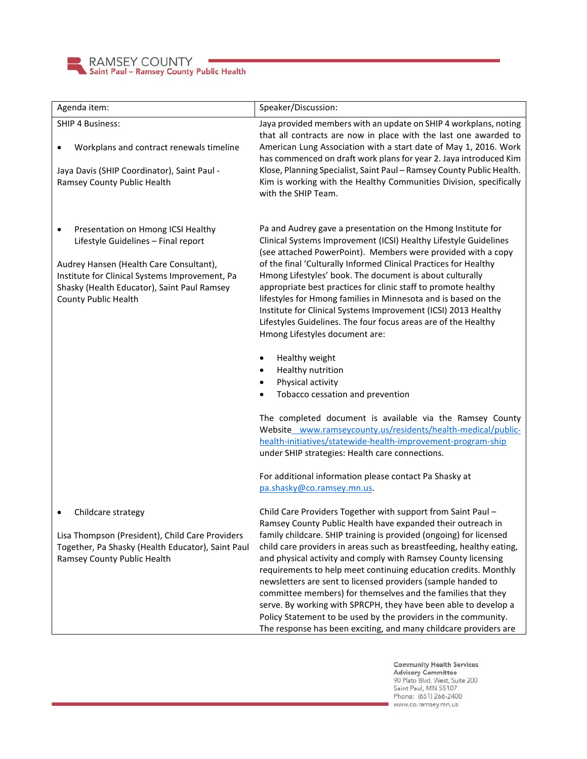

| Agenda item:                                                                                                                                                                                                                                  | Speaker/Discussion:                                                                                                                                                                                                                                                                                                                                                                                                                                                                                                                                                                                                                                                                            |
|-----------------------------------------------------------------------------------------------------------------------------------------------------------------------------------------------------------------------------------------------|------------------------------------------------------------------------------------------------------------------------------------------------------------------------------------------------------------------------------------------------------------------------------------------------------------------------------------------------------------------------------------------------------------------------------------------------------------------------------------------------------------------------------------------------------------------------------------------------------------------------------------------------------------------------------------------------|
| <b>SHIP 4 Business:</b><br>Workplans and contract renewals timeline<br>Jaya Davis (SHIP Coordinator), Saint Paul -<br>Ramsey County Public Health                                                                                             | Jaya provided members with an update on SHIP 4 workplans, noting<br>that all contracts are now in place with the last one awarded to<br>American Lung Association with a start date of May 1, 2016. Work<br>has commenced on draft work plans for year 2. Jaya introduced Kim<br>Klose, Planning Specialist, Saint Paul - Ramsey County Public Health.<br>Kim is working with the Healthy Communities Division, specifically<br>with the SHIP Team.                                                                                                                                                                                                                                            |
| Presentation on Hmong ICSI Healthy<br>Lifestyle Guidelines - Final report<br>Audrey Hansen (Health Care Consultant),<br>Institute for Clinical Systems Improvement, Pa<br>Shasky (Health Educator), Saint Paul Ramsey<br>County Public Health | Pa and Audrey gave a presentation on the Hmong Institute for<br>Clinical Systems Improvement (ICSI) Healthy Lifestyle Guidelines<br>(see attached PowerPoint). Members were provided with a copy<br>of the final 'Culturally Informed Clinical Practices for Healthy<br>Hmong Lifestyles' book. The document is about culturally<br>appropriate best practices for clinic staff to promote healthy<br>lifestyles for Hmong families in Minnesota and is based on the<br>Institute for Clinical Systems Improvement (ICSI) 2013 Healthy<br>Lifestyles Guidelines. The four focus areas are of the Healthy<br>Hmong Lifestyles document are:<br>Healthy weight<br>$\bullet$<br>Healthy nutrition |
|                                                                                                                                                                                                                                               | Physical activity<br>٠<br>Tobacco cessation and prevention<br>The completed document is available via the Ramsey County<br>Website_www.ramseycounty.us/residents/health-medical/public-<br>health-initiatives/statewide-health-improvement-program-ship<br>under SHIP strategies: Health care connections.                                                                                                                                                                                                                                                                                                                                                                                     |
|                                                                                                                                                                                                                                               | For additional information please contact Pa Shasky at<br>pa.shasky@co.ramsey.mn.us                                                                                                                                                                                                                                                                                                                                                                                                                                                                                                                                                                                                            |
| Childcare strategy                                                                                                                                                                                                                            | Child Care Providers Together with support from Saint Paul -<br>Ramsey County Public Health have expanded their outreach in                                                                                                                                                                                                                                                                                                                                                                                                                                                                                                                                                                    |
| Lisa Thompson (President), Child Care Providers<br>Together, Pa Shasky (Health Educator), Saint Paul<br>Ramsey County Public Health                                                                                                           | family childcare. SHIP training is provided (ongoing) for licensed<br>child care providers in areas such as breastfeeding, healthy eating,<br>and physical activity and comply with Ramsey County licensing<br>requirements to help meet continuing education credits. Monthly<br>newsletters are sent to licensed providers (sample handed to<br>committee members) for themselves and the families that they<br>serve. By working with SPRCPH, they have been able to develop a<br>Policy Statement to be used by the providers in the community.<br>The response has been exciting, and many childcare providers are                                                                        |

**Community Health Services<br>Advisory Committee**<br>90 Plato Blvd. West, Suite 200<br>Saint Paul, MN 55107<br>Phone: (651) 266-2400<br>www.co.ramsey.mn.us

Ì.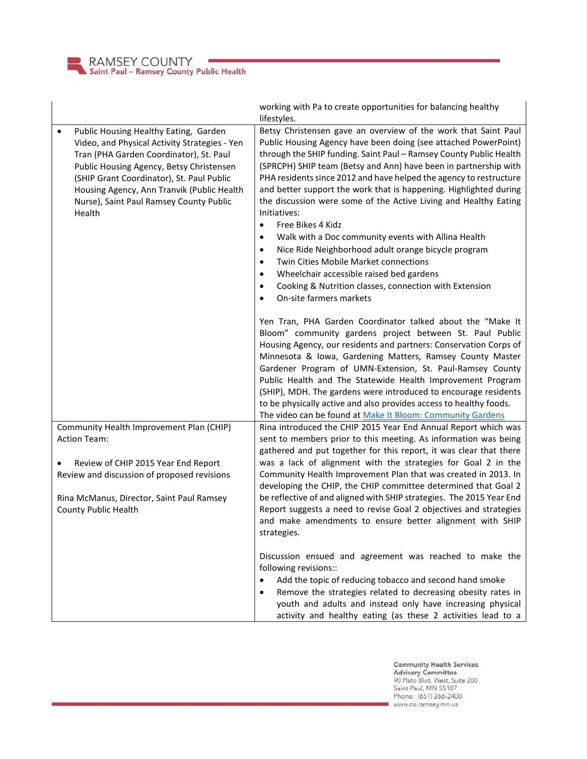

|                                                                                                                                                                                                                                                                                                                                            | working with Pa to create opportunities for balancing healthy<br>lifestyles.                                                                                                                                                                                                                                                                                                                                                                                                                                                                                                                                                                                                                                                                                                                                                                                                     |
|--------------------------------------------------------------------------------------------------------------------------------------------------------------------------------------------------------------------------------------------------------------------------------------------------------------------------------------------|----------------------------------------------------------------------------------------------------------------------------------------------------------------------------------------------------------------------------------------------------------------------------------------------------------------------------------------------------------------------------------------------------------------------------------------------------------------------------------------------------------------------------------------------------------------------------------------------------------------------------------------------------------------------------------------------------------------------------------------------------------------------------------------------------------------------------------------------------------------------------------|
| Public Housing Healthy Eating, Garden<br>$\bullet$<br>Video, and Physical Activity Strategies - Yen<br>Tran (PHA Garden Coordinator), St. Paul<br>Public Housing Agency, Betsy Christensen<br>(SHIP Grant Coordinator), St. Paul Public<br>Housing Agency, Ann Tranvik (Public Health<br>Nurse), Saint Paul Ramsey County Public<br>Health | Betsy Christensen gave an overview of the work that Saint Paul<br>Public Housing Agency have been doing (see attached PowerPoint)<br>through the SHIP funding. Saint Paul - Ramsey County Public Health<br>(SPRCPH) SHIP team (Betsy and Ann) have been in partnership with<br>PHA residents since 2012 and have helped the agency to restructure<br>and better support the work that is happening. Highlighted during<br>the discussion were some of the Active Living and Healthy Eating<br>Initiatives:<br>Free Bikes 4 Kidz<br>$\bullet$<br>Walk with a Doc community events with Allina Health<br>$\bullet$<br>Nice Ride Neighborhood adult orange bicycle program<br>$\bullet$<br>Twin Cities Mobile Market connections<br>Wheelchair accessible raised bed gardens<br>Cooking & Nutrition classes, connection with Extension<br>٠<br>On-site farmers markets<br>$\bullet$ |
|                                                                                                                                                                                                                                                                                                                                            | Yen Tran, PHA Garden Coordinator talked about the "Make It<br>Bloom" community gardens project between St. Paul Public<br>Housing Agency, our residents and partners: Conservation Corps of<br>Minnesota & Iowa, Gardening Matters, Ramsey County Master<br>Gardener Program of UMN-Extension, St. Paul-Ramsey County<br>Public Health and The Statewide Health Improvement Program<br>(SHIP), MDH. The gardens were introduced to encourage residents<br>to be physically active and also provides access to healthy foods.<br>The video can be found at Make It Bloom: Community Gardens                                                                                                                                                                                                                                                                                       |
| Community Health Improvement Plan (CHIP)<br><b>Action Team:</b><br>Review of CHIP 2015 Year End Report<br>Review and discussion of proposed revisions<br>Rina McManus, Director, Saint Paul Ramsey<br>County Public Health                                                                                                                 | Rina introduced the CHIP 2015 Year End Annual Report which was<br>sent to members prior to this meeting. As information was being<br>gathered and put together for this report, it was clear that there<br>was a lack of alignment with the strategies for Goal 2 in the<br>Community Health Improvement Plan that was created in 2013. In<br>developing the CHIP, the CHIP committee determined that Goal 2<br>be reflective of and aligned with SHIP strategies. The 2015 Year End<br>Report suggests a need to revise Goal 2 objectives and strategies<br>and make amendments to ensure better alignment with SHIP<br>strategies.                                                                                                                                                                                                                                             |
|                                                                                                                                                                                                                                                                                                                                            | Discussion ensued and agreement was reached to make the<br>following revisions::<br>Add the topic of reducing tobacco and second hand smoke<br>$\bullet$<br>Remove the strategies related to decreasing obesity rates in<br>$\bullet$<br>youth and adults and instead only have increasing physical<br>activity and healthy eating (as these 2 activities lead to a                                                                                                                                                                                                                                                                                                                                                                                                                                                                                                              |

**Community Health Services<br>Advisory Committee**<br>90 Plato Blvd. West, Suite 200<br>Saint Paul, MN 55107<br>Phone: (651) 266-2400 www.co.ramsey.mn.us

Ì,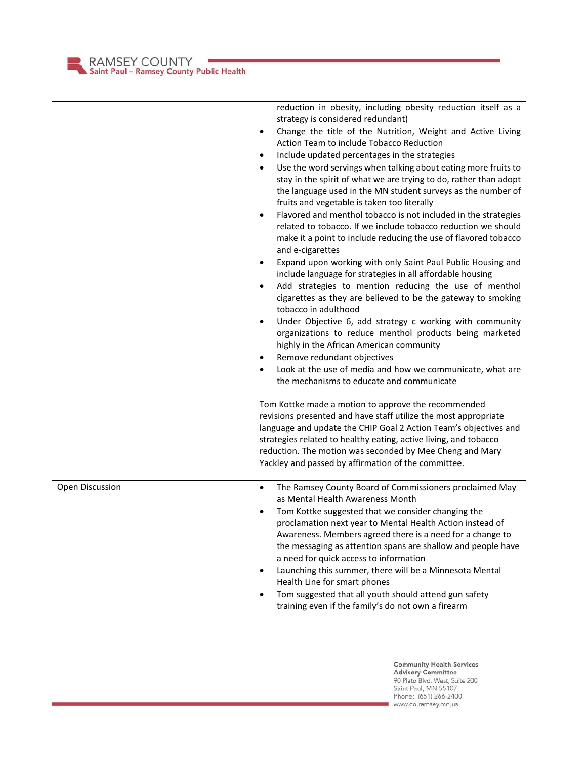RAMSEY COUNTY<br>Saint Paul – Ramsey County Public Health

|                 | reduction in obesity, including obesity reduction itself as a<br>strategy is considered redundant)<br>Change the title of the Nutrition, Weight and Active Living<br>٠<br>Action Team to include Tobacco Reduction<br>Include updated percentages in the strategies<br>$\bullet$<br>Use the word servings when talking about eating more fruits to<br>$\bullet$<br>stay in the spirit of what we are trying to do, rather than adopt<br>the language used in the MN student surveys as the number of<br>fruits and vegetable is taken too literally<br>Flavored and menthol tobacco is not included in the strategies<br>$\bullet$<br>related to tobacco. If we include tobacco reduction we should<br>make it a point to include reducing the use of flavored tobacco<br>and e-cigarettes<br>Expand upon working with only Saint Paul Public Housing and<br>include language for strategies in all affordable housing<br>Add strategies to mention reducing the use of menthol<br>$\bullet$<br>cigarettes as they are believed to be the gateway to smoking<br>tobacco in adulthood<br>Under Objective 6, add strategy c working with community<br>$\bullet$<br>organizations to reduce menthol products being marketed<br>highly in the African American community<br>Remove redundant objectives<br>$\bullet$<br>Look at the use of media and how we communicate, what are<br>$\bullet$<br>the mechanisms to educate and communicate<br>Tom Kottke made a motion to approve the recommended<br>revisions presented and have staff utilize the most appropriate<br>language and update the CHIP Goal 2 Action Team's objectives and<br>strategies related to healthy eating, active living, and tobacco<br>reduction. The motion was seconded by Mee Cheng and Mary<br>Yackley and passed by affirmation of the committee. |
|-----------------|------------------------------------------------------------------------------------------------------------------------------------------------------------------------------------------------------------------------------------------------------------------------------------------------------------------------------------------------------------------------------------------------------------------------------------------------------------------------------------------------------------------------------------------------------------------------------------------------------------------------------------------------------------------------------------------------------------------------------------------------------------------------------------------------------------------------------------------------------------------------------------------------------------------------------------------------------------------------------------------------------------------------------------------------------------------------------------------------------------------------------------------------------------------------------------------------------------------------------------------------------------------------------------------------------------------------------------------------------------------------------------------------------------------------------------------------------------------------------------------------------------------------------------------------------------------------------------------------------------------------------------------------------------------------------------------------------------------------------------------------------------------------------------------------------------------------------|
| Open Discussion | The Ramsey County Board of Commissioners proclaimed May<br>$\bullet$<br>as Mental Health Awareness Month<br>Tom Kottke suggested that we consider changing the<br>٠<br>proclamation next year to Mental Health Action instead of<br>Awareness. Members agreed there is a need for a change to<br>the messaging as attention spans are shallow and people have<br>a need for quick access to information<br>Launching this summer, there will be a Minnesota Mental<br>$\bullet$<br>Health Line for smart phones<br>Tom suggested that all youth should attend gun safety<br>$\bullet$<br>training even if the family's do not own a firearm                                                                                                                                                                                                                                                                                                                                                                                                                                                                                                                                                                                                                                                                                                                                                                                                                                                                                                                                                                                                                                                                                                                                                                                  |

**Community Health Services<br>Advisory Committee**<br>90 Plato Blvd. West, Suite 200<br>Saint Paul, MN 55107<br>Phone: (651) 266-2400<br>www.co.ramsey.mn.us

I,